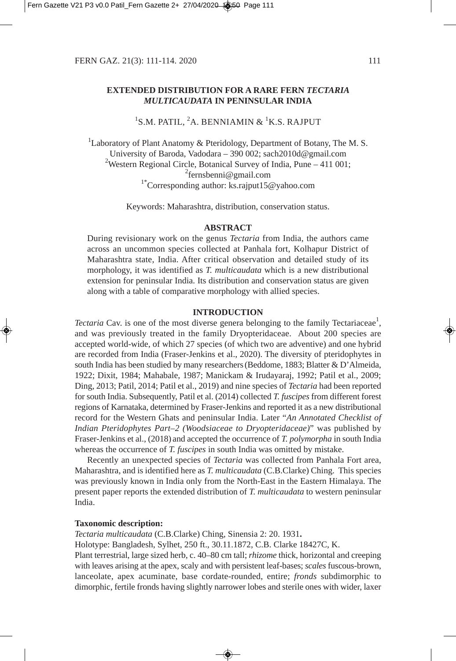# **EXTENDED DISTRIBUTION FOR A RARE FERN** *TECTARIA MULTICAUDATA* **IN PENINSULAR INDIA**

<sup>1</sup>S.M. PATIL, <sup>2</sup>A. BENNIAMIN & <sup>1</sup>K.S. RAJPUT

<sup>1</sup>Laboratory of Plant Anatomy & Pteridology, Department of Botany, The M. S. University of Baroda, Vadodara – 390 002; sach2010d@gmail.com <sup>2</sup>Western Regional Circle, Botanical Survey of India, Pune  $-411001$ ; <sup>2</sup>fernsbenni@gmail.com <sup>1\*</sup>Corresponding author: ks.rajput15@yahoo.com

Keywords: Maharashtra, distribution, conservation status.

## **ABSTRACT**

During revisionary work on the genus *Tectaria* from India, the authors came across an uncommon species collected at Panhala fort, Kolhapur District of Maharashtra state, India. After critical observation and detailed study of its morphology, it was identified as *T. multicaudata* which is a new distributional extension for peninsular India. Its distribution and conservation status are given along with a table of comparative morphology with allied species.

## **INTRODUCTION**

Tectaria Cav. is one of the most diverse genera belonging to the family Tectariaceae<sup>1</sup>, and was previously treated in the family Dryopteridaceae. About 200 species are accepted world-wide, of which 27 species (of which two are adventive) and one hybrid are recorded from India (Fraser-Jenkins et al., 2020). The diversity of pteridophytes in south India has been studied by many researchers (Beddome, 1883; Blatter & D'Almeida, 1922; Dixit, 1984; Mahabale, 1987; Manickam & Irudayaraj, 1992; Patil et al., 2009; Ding, 2013; Patil, 2014; Patil et al., 2019) and nine species of *Tectaria* had been reported for south India. Subsequently, Patil et al. (2014) collected *T. fuscipes* from different forest regions of Karnataka, determined by Fraser-Jenkins and reported it as a new distributional record for the Western Ghats and peninsular India. Later "*An Annotated Checklist of Indian Pteridophytes Part–2 (Woodsiaceae to Dryopteridaceae)*" was published by Fraser-Jenkins et al., (2018) and accepted the occurrence of *T. polymorpha* in south India whereas the occurrence of *T. fuscipes* in south India was omitted by mistake.

Recently an unexpected species of *Tectaria* was collected from Panhala Fort area, Maharashtra, and is identified here as *T. multicaudata* (C.B.Clarke) Ching. This species was previously known in India only from the North-East in the Eastern Himalaya. The present paper reports the extended distribution of *T. multicaudata* to western peninsular India.

# **Taxonomic description:**

*Tectaria multicaudata* (C.B.Clarke) Ching, Sinensia 2: 20. 1931**.**

Holotype: Bangladesh, Sylhet, 250 ft., 30.11.1872, C.B. Clarke 18427C, K.

Plant terrestrial, large sized herb, c. 40–80 cm tall; *rhizome* thick, horizontal and creeping with leaves arising at the apex, scaly and with persistent leaf-bases; *scales* fuscous-brown, lanceolate, apex acuminate, base cordate-rounded, entire; *fronds* subdimorphic to dimorphic, fertile fronds having slightly narrower lobes and sterile ones with wider, laxer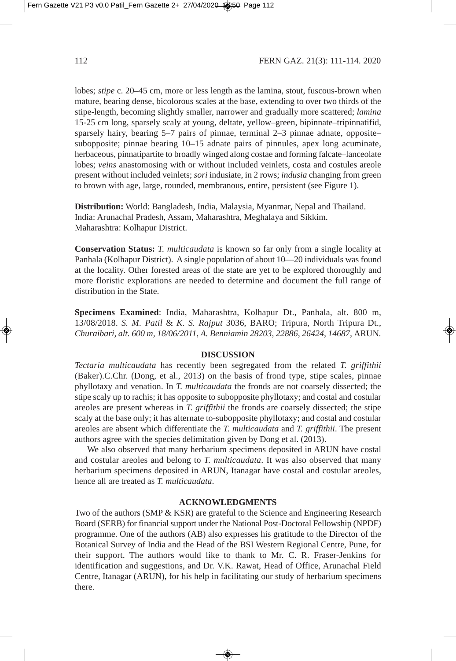lobes; *stipe* c. 20–45 cm, more or less length as the lamina, stout, fuscous-brown when mature, bearing dense, bicolorous scales at the base, extending to over two thirds of the stipe-length, becoming slightly smaller, narrower and gradually more scattered; *lamina* 15-25 cm long, sparsely scaly at young, deltate, yellow–green, bipinnate–tripinnatifid, sparsely hairy, bearing 5–7 pairs of pinnae, terminal 2–3 pinnae adnate, opposite– subopposite; pinnae bearing 10–15 adnate pairs of pinnules, apex long acuminate, herbaceous, pinnatipartite to broadly winged along costae and forming falcate–lanceolate lobes; *veins* anastomosing with or without included veinlets, costa and costules areole present without included veinlets; *sori* indusiate, in 2 rows; *indusia* changing from green to brown with age, large, rounded, membranous, entire, persistent (see Figure 1).

**Distribution:** World: Bangladesh, India, Malaysia, Myanmar, Nepal and Thailand. India: Arunachal Pradesh, Assam, Maharashtra, Meghalaya and Sikkim. Maharashtra: Kolhapur District.

**Conservation Status:** *T. multicaudata* is known so far only from a single locality at Panhala (Kolhapur District). A single population of about 10—20 individuals was found at the locality. Other forested areas of the state are yet to be explored thoroughly and more floristic explorations are needed to determine and document the full range of distribution in the State.

**Specimens Examined**: India, Maharashtra, Kolhapur Dt., Panhala, alt. 800 m, 13/08/2018. *S. M. Patil* & *K. S. Rajput* 3036, BARO; Tripura, North Tripura Dt., *Churaibari, alt. 600 m, 18/06/2011, A. Benniamin 28203, 22886, 26424, 14687,* ARUN*.*

### **DISCUSSION**

*Tectaria multicaudata* has recently been segregated from the related *T. griffithii* (Baker).C.Chr. (Dong, et al., 2013) on the basis of frond type, stipe scales, pinnae phyllotaxy and venation. In *T. multicaudata* the fronds are not coarsely dissected; the stipe scaly up to rachis; it has opposite to subopposite phyllotaxy; and costal and costular areoles are present whereas in *T. griffithii* the fronds are coarsely dissected; the stipe scaly at the base only; it has alternate to-subopposite phyllotaxy; and costal and costular areoles are absent which differentiate the *T. multicaudata* and *T. griffithii*. The present authors agree with the species delimitation given by Dong et al. (2013).

We also observed that many herbarium specimens deposited in ARUN have costal and costular areoles and belong to *T. multicaudata*. It was also observed that many herbarium specimens deposited in ARUN, Itanagar have costal and costular areoles, hence all are treated as *T. multicaudata*.

### **ACKNOWLEDGMENTS**

Two of the authors (SMP & KSR) are grateful to the Science and Engineering Research Board (SERB) for financial support under the National Post-Doctoral Fellowship (NPDF) programme. One of the authors (AB) also expresses his gratitude to the Director of the Botanical Survey of India and the Head of the BSI Western Regional Centre, Pune, for their support. The authors would like to thank to Mr. C. R. Fraser-Jenkins for identification and suggestions, and Dr. V.K. Rawat, Head of Office, Arunachal Field Centre, Itanagar (ARUN), for his help in facilitating our study of herbarium specimens there.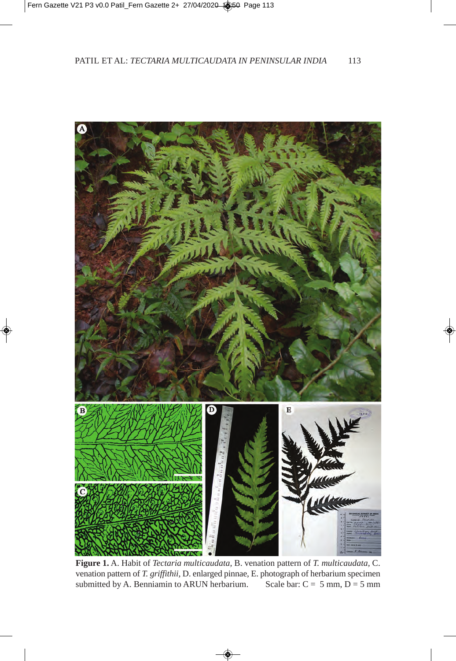

**Figure 1.** A. Habit of *Tectaria multicaudata,* B. venation pattern of *T. multicaudata,* C. venation pattern of *T. griffithii,* D. enlarged pinnae, E. photograph of herbarium specimen submitted by A. Benniamin to ARUN herbarium. Scale bar:  $C = 5$  mm,  $D = 5$  mm